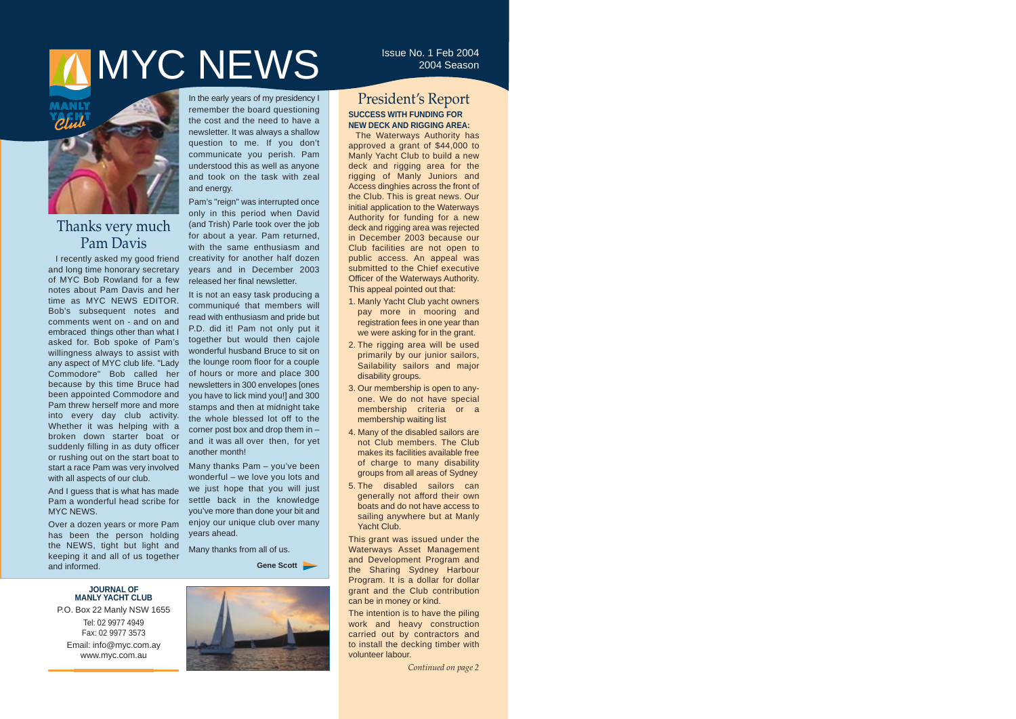# **MYC NEWS** ISSUE No. 1 Feb 2004



# Thanks very much Pam Davis

I recently asked my good friend and long time honorary secretary of MYC Bob Rowland for a few notes about Pam Davis and her time as MYC NEWS EDITOR. Bob's subsequent notes and comments went on - and on and embraced things other than what I asked for. Bob spoke of Pam's willingness always to assist with any aspect of MYC club life. "Lady Commodore" Bob called her because by this time Bruce had been appointed Commodore and Pam threw herself more and more into every day club activity. Whether it was helping with a broken down starter boat or suddenly filling in as duty officer or rushing out on the start boat to start a race Pam was very involved with all aspects of our club.

And I guess that is what has made Pam a wonderful head scribe for MYC NEWS.

Over a dozen years or more Pam has been the person holding the NEWS, tight but light and keeping it and all of us together and informed.

In the early years of my presidency I remember the board questioning the cost and the need to have a newsletter. It was always a shallow question to me. If you don't communicate you perish. Pam understood this as well as anyone and took on the task with zeal and energy.

Pam's "reign" was interrupted once only in this period when David (and Trish) Parle took over the job for about a year. Pam returned, with the same enthusiasm and creativity for another half dozen years and in December 2003 released her final newsletter.

It is not an easy task producing a communiqué that members will read with enthusiasm and pride but P.D. did it! Pam not only put it together but would then cajole wonderful husband Bruce to sit on the lounge room floor for a couple of hours or more and place 300 newsletters in 300 envelopes [ones you have to lick mind you!] and 300 stamps and then at midnight take the whole blessed lot off to the corner post box and drop them in – and it was all over then, for yet another month!

Many thanks Pam – you've been wonderful – we love you lots and we just hope that you will just settle back in the knowledge you've more than done your bit and enjoy our unique club over many years ahead.

Many thanks from all of us.

**Gene Scott**

#### **JOURNAL OF MANLY YACHT CLUB**

P.O. Box 22 Manly NSW 1655 Tel: 02 9977 4949 Fax: 02 9977 3573 Email: info@myc.com.ay www.myc.com.au



## President's Report **SUCCESS WITH FUNDING FOR NEW DECK AND RIGGING AREA:**

The Waterways Authority has approved a grant of \$44,000 to Manly Yacht Club to build a new deck and rigging area for the rigging of Manly Juniors and Access dinghies across the front of the Club. This is great news. Our initial application to the Waterways Authority for funding for a new deck and rigging area was rejected in December 2003 because our Club facilities are not open to public access. An appeal was submitted to the Chief executive Officer of the Waterways Authority. This appeal pointed out that:

- 1. Manly Yacht Club yacht owners pay more in mooring and registration fees in one year than we were asking for in the grant.
- 2. The rigging area will be used primarily by our junior sailors, Sailability sailors and major disability groups.
- 3. Our membership is open to anyone. We do not have special membership criteria or a membership waiting list
- 4. Many of the disabled sailors are not Club members. The Club makes its facilities available free of charge to many disability groups from all areas of Sydney
- 5. The disabled sailors can generally not afford their own boats and do not have access to sailing anywhere but at Manly Yacht Club.

This grant was issued under the Waterways Asset Management and Development Program and the Sharing Sydney Harbour Program. It is a dollar for dollar grant and the Club contribution can be in money or kind.

The intention is to have the piling work and heavy construction carried out by contractors and to install the decking timber with volunteer labour.

*Continued on page 2*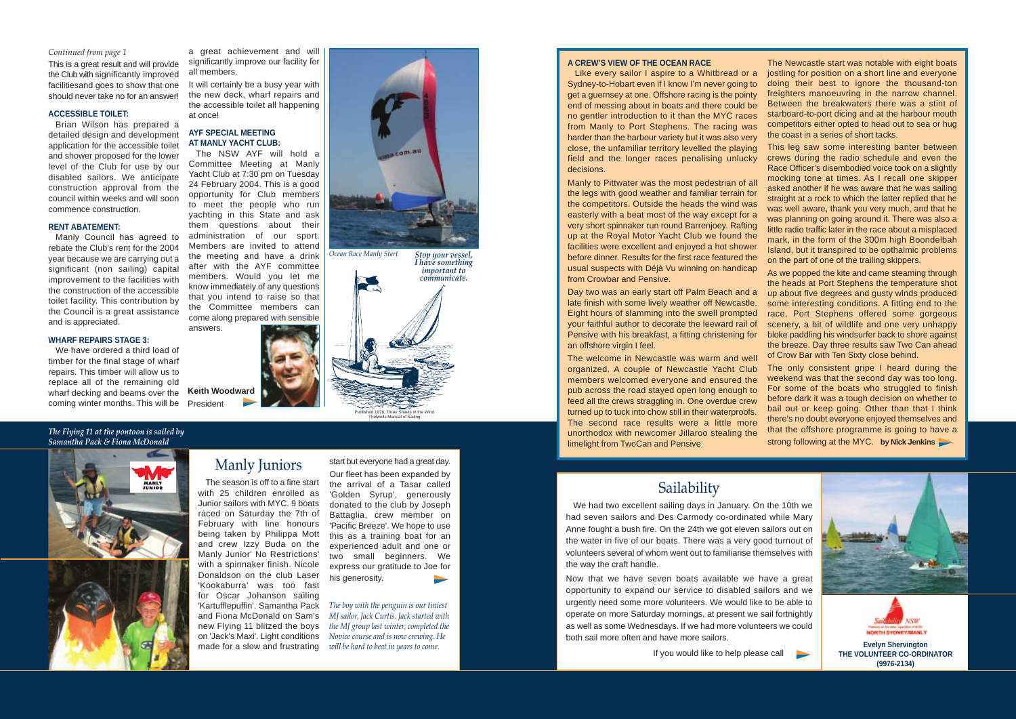#### **A CREW'S VIEW OF THE OCEAN RACE**

Like every sailor I aspire to a Whitbread or a Sydney-to-Hobart even if I know I'm never going to get a guernsey at one. Offshore racing is the pointy end of messing about in boats and there could be no gentler introduction to it than the MYC races from Manly to Port Stephens. The racing was harder than the harbour variety but it was also very close, the unfamiliar territory levelled the playing field and the longer races penalising unlucky decisions.

Manly to Pittwater was the most pedestrian of all the legs with good weather and familiar terrain for the competitors. Outside the heads the wind was easterly with a beat most of the way except for a very short spinnaker run round Barrenjoey. Rafting up at the Royal Motor Yacht Club we found the facilities were excellent and enjoyed a hot shower before dinner. Results for the first race featured the usual suspects with Déjà Vu winning on handicap from Crowbar and Pensive.

Day two was an early start off Palm Beach and a late finish with some lively weather off Newcastle. Eight hours of slamming into the swell prompted your faithful author to decorate the leeward rail of Pensive with his breakfast, a fitting christening for an offshore virgin I feel.

The welcome in Newcastle was warm and well organized. A couple of Newcastle Yacht Club members welcomed everyone and ensured the pub across the road stayed open long enough to feed all the crews straggling in. One overdue crew turned up to tuck into chow still in their waterproofs. The second race results were a little more unorthodox with newcomer Jillaroo stealing the limelight from TwoCan and Pensive.

The Newcastle start was notable with eight boats jostling for position on a short line and everyone doing their best to ignore the thousand-ton freighters manoeuvring in the narrow channel. Between the breakwaters there was a stint of starboard-to-port dicing and at the harbour mouth competitors either opted to head out to sea or hug the coast in a series of short tacks.



This leg saw some interesting banter between crews during the radio schedule and even the Race Officer's disembodied voice took on a slightly mocking tone at times. As I recall one skipper asked another if he was aware that he was sailing straight at a rock to which the latter replied that he was well aware, thank you very much, and that he was planning on going around it. There was also a little radio traffic later in the race about a misplaced mark, in the form of the 300m high Boondelbah Island, but it transpired to be opthalmic problems on the part of one of the trailing skippers.

As we popped the kite and came steaming through the heads at Port Stephens the temperature shot up about five degrees and gusty winds produced some interesting conditions. A fitting end to the race, Port Stephens offered some gorgeous scenery, a bit of wildlife and one very unhappy bloke paddling his windsurfer back to shore against the breeze. Day three results saw Two Can ahead of Crow Bar with Ten Sixty close behind.

The only consistent gripe I heard during the weekend was that the second day was too long. For some of the boats who struggled to finish before dark it was a tough decision on whether to bail out or keep going. Other than that I think there's no doubt everyone enjoyed themselves and that the offshore programme is going to have a strong following at the MYC. **by Nick Jenkins**



It will certainly be a busy year with the new deck, wharf repairs and the accessible toilet all happening at once!

## Manly Juniors

start but everyone had a great day.

Our fleet has been expanded by the arrival of a Tasar called 'Golden Syrup', generously donated to the club by Joseph Battaglia, crew member on 'Pacific Breeze'. We hope to use this as a training boat for an experienced adult and one or two small beginners. We express our gratitude to Joe for his generosity.

Published 1976, Three Sheets in the Wind Thelwells Manual of Sailing

#### *Continued from page 1*

This is a great result and will provide the Club with significantly improved facilitiesand goes to show that one should never take no for an answer!

#### **ACCESSIBLE TOILET:**

Brian Wilson has prepared a detailed design and development application for the accessible toilet and shower proposed for the lower level of the Club for use by our disabled sailors. We anticipate construction approval from the council within weeks and will soon commence construction.

> The season is off to a fine start with 25 children enrolled as Junior sailors with MYC. 9 boats raced on Saturday the 7th of February with line honours being taken by Philippa Mott and crew Izzy Buda on the Manly Junior' No Restrictions' with a spinnaker finish. Nicole Donaldson on the club Laser 'Kookaburra' was too fast for Oscar Johanson sailing 'Kartufflepuffin'. Samantha Pack and Fiona McDonald on Sam's *MJ sailor, Jack Curtis. Jack started with* new Flying 11 blitzed the boys *the MJ group last winter, completed the* on 'Jack's Maxi'. Light conditions *Novice course and is now crewing. He*

#### **RENT ABATEMENT:**

Manly Council has agreed to rebate the Club's rent for the 2004 year because we are carrying out a significant (non sailing) capital improvement to the facilities with the construction of the accessible toilet facility. This contribution by the Council is a great assistance and is appreciated.

> made for a slow and frustrating *will be hard to beat in years to come. The boy with the penguin is our tiniest*

#### **WHARF REPAIRS STAGE 3:**

# Sailability

We had two excellent sailing days in January. On the 10th we had seven sailors and Des Carmody co-ordinated while Mary Anne fought a bush fire. On the 24th we got eleven sailors out on the water in five of our boats. There was a very good turnout of volunteers several of whom went out to familiarise themselves with the way the craft handle.

We have ordered a third load of timber for the final stage of wharf repairs. This timber will allow us to replace all of the remaining old wharf decking and beams over the coming winter months. This will be President

> Now that we have seven boats available we have a great opportunity to expand our service to disabled sailors and we urgently need some more volunteers. We would like to be able to operate on more Saturday mornings, at present we sail fortnightly as well as some Wednesdays. If we had more volunteers we could both sail more often and have more sailors.

> > If you would like to help please call



*The Flying 11 at the pontoon is sailed by Samantha Pack & Fiona McDonald* 





**THE VOLUNTEER CO-ORDINATOR (9976-2134)** 

a great achievement and will significantly improve our facility for all members.

#### **AYF SPECIAL MEETING AT MANLY YACHT CLUB:**

The NSW AYF will hold a Committee Meeting at Manly Yacht Club at 7:30 pm on Tuesday 24 February 2004. This is a good opportunity for Club members to meet the people who run yachting in this State and ask them questions about their administration of our sport. Members are invited to attend the meeting and have a drink after with the AYF committee members. Would you let me know immediately of any questions that you intend to raise so that the Committee members can come along prepared with sensible answers.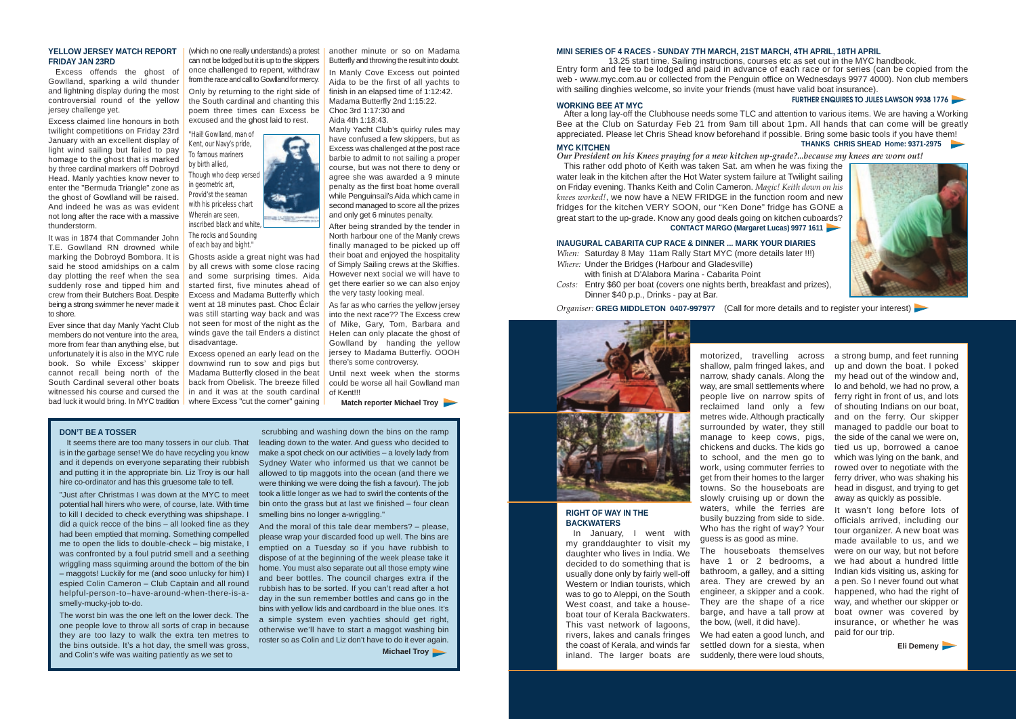#### **RIGHT OF WAY IN THE BACKWATERS**

In January, I went with my granddaughter to visit my daughter who lives in India. We decided to do something that is usually done only by fairly well-off Western or Indian tourists, which was to go to Aleppi, on the South West coast, and take a houseboat tour of Kerala Backwaters. This vast network of lagoons, rivers, lakes and canals fringes the coast of Kerala, and winds far inland. The larger boats are

motorized, travelling across a strong bump, and feet running shallow, palm fringed lakes, and narrow, shady canals. Along the way, are small settlements where people live on narrow spits of reclaimed land only a few metres wide. Although practically surrounded by water, they still manage to keep cows, pigs, chickens and ducks. The kids go to school, and the men go to work, using commuter ferries to get from their homes to the larger towns. So the houseboats are slowly cruising up or down the waters, while the ferries are busily buzzing from side to side. Who has the right of way? Your guess is as good as mine. The houseboats themselves have 1 or 2 bedrooms, a bathroom, a galley, and a sitting area. They are crewed by an engineer, a skipper and a cook. They are the shape of a rice barge, and have a tall prow at the bow, (well, it did have). We had eaten a good lunch, and settled down for a siesta, when suddenly, there were loud shouts,



up and down the boat. I poked my head out of the window and, lo and behold, we had no prow, a ferry right in front of us, and lots of shouting Indians on our boat, and on the ferry. Our skipper managed to paddle our boat to the side of the canal we were on, tied us up, borrowed a canoe which was lying on the bank, and rowed over to negotiate with the ferry driver, who was shaking his head in disgust, and trying to get away as quickly as possible.

It wasn't long before lots of officials arrived, including our tour organizer. A new boat was made available to us, and we were on our way, but not before we had about a hundred little Indian kids visiting us, asking for a pen. So I never found out what happened, who had the right of way, and whether our skipper or boat owner was covered by insurance, or whether he was paid for our trip.

**Eli Demeny**

#### **YELLOW JERSEY MATCH REPORT FRIDAY JAN 23RD**

Excess offends the ghost of Gowlland, sparking a wild thunder and lightning display during the most controversial round of the yellow jersey challenge yet.

It seems there are too many tossers in our club. That is in the garbage sense! We do have recycling you know and it depends on everyone separating their rubbish and putting it in the appropriate bin. Liz Troy is our hall hire co-ordinator and has this gruesome tale to tell.

Excess claimed line honours in both twilight competitions on Friday 23rd January with an excellent display of light wind sailing but failed to pay homage to the ghost that is marked by three cardinal markers off Dobroyd Head. Manly yachties know never to enter the "Bermuda Triangle" zone as the ghost of Gowlland will be raised. And indeed he was as was evident not long after the race with a massive thunderstorm.

It was in 1874 that Commander John T.E. Gowlland RN drowned while marking the Dobroyd Bombora. It is said he stood amidships on a calm day plotting the reef when the sea suddenly rose and tipped him and crew from their Butchers Boat. Despite being a strong swimmer he never made it to shore.

Ever since that day Manly Yacht Club members do not venture into the area, more from fear than anything else, but unfortunately it is also in the MYC rule book. So while Excess' skipper cannot recall being north of the South Cardinal several other boats witnessed his course and cursed the bad luck it would bring. In MYC tradition

(which no one really understands) a protest can not be lodged but it is up to the skippers once challenged to repent, withdraw from the race and call to Gowlland for mercy. Only by returning to the right side of the South cardinal and chanting this poem three times can Excess be excused and the ghost laid to rest.

After a long lay-off the Clubhouse needs some TLC and attention to various items. We are having a Working Bee at the Club on Saturday Feb 21 from 9am till about 1pm. All hands that can come will be greatly appreciated. Please let Chris Shead know beforehand if possible. Bring some basic tools if you have them! **THANKS CHRIS SHEAD Home: 9371-2975** 

*"Hail! Gowlland, man of Kent, our Navy's pride, To famous mariners by birth allied, Though who deep versed in geometric art, Provid'st the seaman with his priceless chart Wherein are seen, inscribed black and white,*

*The rocks and Sounding* 

*of each bay and bight."* Ghosts aside a great night was had by all crews with some close racing and some surprising times. Aida started first, five minutes ahead of Excess and Madama Butterfly which went at 18 minutes past. Choc Éclair was still starting way back and was not seen for most of the night as the winds gave the tail Enders a distinct disadvantage.

*When:* Saturday 8 May 11am Rally Start MYC (more details later !!!) *Where:* Under the Bridges (Harbour and Gladesville)

Excess opened an early lead on the downwind run to sow and pigs but Madama Butterfly closed in the beat back from Obelisk. The breeze filled in and it was at the south cardinal where Excess "cut the corner" gaining

## **DON'T BE A TOSSER**

"Just after Christmas I was down at the MYC to meet potential hall hirers who were, of course, late. With time to kill I decided to check everything was shipshape. I did a quick recce of the bins – all looked fine as they had been emptied that morning. Something compelled me to open the lids to double-check – big mistake, I was confronted by a foul putrid smell and a seething wriggling mass squirming around the bottom of the bin – maggots! Luckily for me (and sooo unlucky for him) I espied Colin Cameron – Club Captain and all round helpful-person-to–have-around-when-there-is-asmelly-mucky-job to-do.

The worst bin was the one left on the lower deck. The one people love to throw all sorts of crap in because they are too lazy to walk the extra ten metres to the bins outside. It's a hot day, the smell was gross, and Colin's wife was waiting patiently as we set to

scrubbing and washing down the bins on the ramp leading down to the water. And guess who decided to make a spot check on our activities – a lovely lady from Sydney Water who informed us that we cannot be allowed to tip maggots into the ocean (and there we were thinking we were doing the fish a favour). The job took a little longer as we had to swirl the contents of the bin onto the grass but at last we finished – four clean smelling bins no longer a-wriggling."

And the moral of this tale dear members? – please, please wrap your discarded food up well. The bins are emptied on a Tuesday so if you have rubbish to dispose of at the beginning of the week please take it home. You must also separate out all those empty wine and beer bottles. The council charges extra if the rubbish has to be sorted. If you can't read after a hot day in the sun remember bottles and cans go in the bins with yellow lids and cardboard in the blue ones. It's a simple system even yachties should get right, otherwise we'll have to start a maggot washing bin roster so as Colin and Liz don't have to do it ever again.

**Michael Troy**

#### **MINI SERIES OF 4 RACES - SUNDAY 7TH MARCH, 21ST MARCH, 4TH APRIL, 18TH APRIL**

13.25 start time. Sailing instructions, courses etc as set out in the MYC handbook. Entry form and fee to be lodged and paid in advance of each race or for series (can be copied from the web - www.myc.com.au or collected from the Penguin office on Wednesdays 9977 4000). Non club members with sailing dinghies welcome, so invite your friends (must have valid boat insurance).

**FURTHER ENQUIRES TO JULES LAWSON 9938 1776 WORKING BEE AT MYC**



*Our President on his Knees praying for a new kitchen up-grade?...because my knees are worn out!* 

This rather odd photo of Keith was taken Sat. am when he was fixing the water leak in the kitchen after the Hot Water system failure at Twilight sailing on Friday evening. Thanks Keith and Colin Cameron. *Magic! Keith down on his knees worked!*, we now have a NEW FRIDGE in the function room and new fridges for the kitchen VERY SOON, our "Ken Done" fridge has GONE a great start to the up-grade. Know any good deals going on kitchen cuboards? **CONTACT MARGO (Margaret Lucas) 9977 1611**

#### **INAUGURAL CABARITA CUP RACE & DINNER ... MARK YOUR DIARIES**

with finish at D'Alabora Marina - Cabarita Point *Costs:* Entry \$60 per boat (covers one nights berth, breakfast and prizes), Dinner \$40 p.p., Drinks - pay at Bar.

#### *Organiser:* **GREG MIDDLETON 0407-997977** (Call for more details and to register your interest)



another minute or so on Madama Butterfly and throwing the result into doubt.

In Manly Cove Excess out pointed Aida to be the first of all yachts to finish in an elapsed time of 1:12:42. Madama Butterfly 2nd 1:15:22. Choc 3rd 1:17:30 and Aida 4th 1:18:43.

Manly Yacht Club's quirky rules may have confused a few skippers, but as Excess was challenged at the post race barbie to admit to not sailing a proper course, but was not there to deny or agree she was awarded a 9 minute penalty as the first boat home overall while Penguinsail's Aida which came in second managed to score all the prizes and only get 6 minutes penalty.

After being stranded by the tender in North harbour one of the Manly crews finally managed to be picked up off their boat and enjoyed the hospitality of Simply Sailing crews at the Skiffies. However next social we will have to get there earlier so we can also enjoy the very tasty looking meal.

As far as who carries the yellow jersey into the next race?? The Excess crew of Mike, Gary, Tom, Barbara and Helen can only placate the ghost of Gowlland by handing the yellow jersey to Madama Butterfly. OOOH there's some controversy.

Until next week when the storms could be worse all hail Gowlland man of Kent!!!

**Match reporter Michael Troy**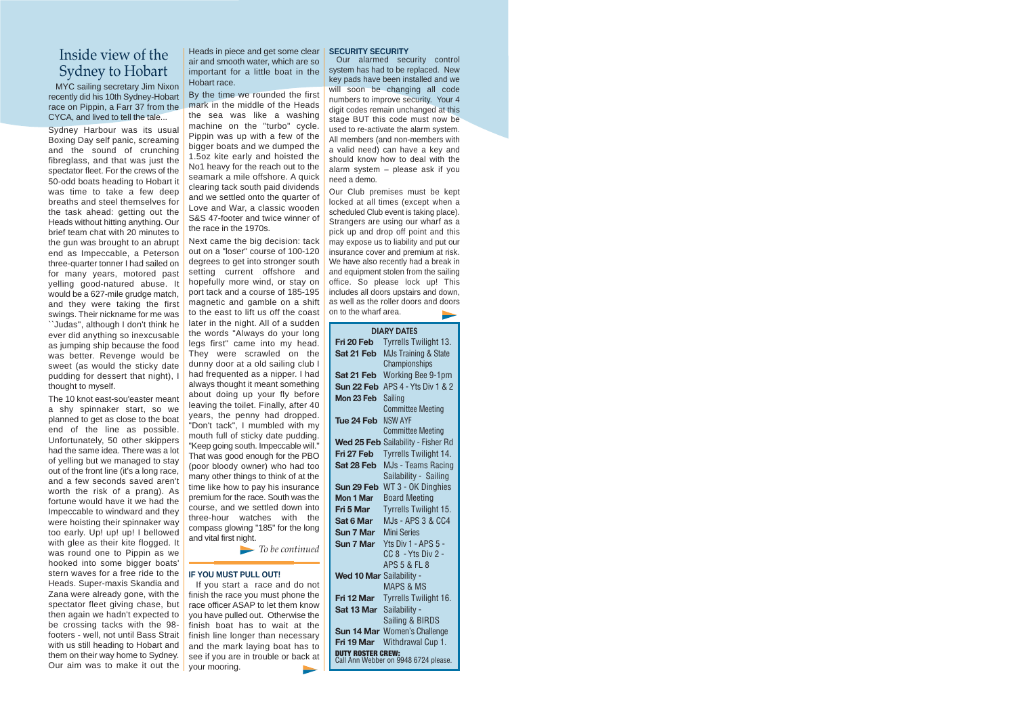# Inside view of the Sydney to Hobart

MYC sailing secretary Jim Nixon recently did his 10th Sydney-Hobart race on Pippin, a Farr 37 from the CYCA, and lived to tell the tale...

Sydney Harbour was its usual Boxing Day self panic, screaming and the sound of crunching fibreglass, and that was just the spectator fleet. For the crews of the 50-odd boats heading to Hobart it was time to take a few deep breaths and steel themselves for the task ahead: getting out the Heads without hitting anything. Our brief team chat with 20 minutes to the gun was brought to an abrupt end as Impeccable, a Peterson three-quarter tonner I had sailed on for many years, motored past yelling good-natured abuse. It would be a 627-mile grudge match, and they were taking the first swings. Their nickname for me was ``Judas'', although I don't think he ever did anything so inexcusable as jumping ship because the food was better. Revenge would be sweet (as would the sticky date pudding for dessert that night), I thought to myself.

The 10 knot east-sou'easter meant a shy spinnaker start, so we planned to get as close to the boat end of the line as possible. Unfortunately, 50 other skippers had the same idea. There was a lot of yelling but we managed to stay out of the front line (it's a long race, and a few seconds saved aren't worth the risk of a prang). As fortune would have it we had the Impeccable to windward and they were hoisting their spinnaker way too early. Up! up! up! I bellowed with glee as their kite flogged. It was round one to Pippin as we hooked into some bigger boats' stern waves for a free ride to the Heads. Super-maxis Skandia and Zana were already gone, with the spectator fleet giving chase, but then again we hadn't expected to be crossing tacks with the 98 footers - well, not until Bass Strait with us still heading to Hobart and them on their way home to Sydney. Our aim was to make it out the

Heads in piece and get some clear air and smooth water, which are so important for a little boat in the Hobart race.

By the time we rounded the first mark in the middle of the Heads the sea was like a washing machine on the "turbo" cycle. Pippin was up with a few of the bigger boats and we dumped the 1.5oz kite early and hoisted the No1 heavy for the reach out to the seamark a mile offshore. A quick clearing tack south paid dividends and we settled onto the quarter of Love and War, a classic wooden S&S 47-footer and twice winner of the race in the 1970s.

Next came the big decision: tack out on a "loser" course of 100-120 degrees to get into stronger south setting current offshore and hopefully more wind, or stay on port tack and a course of 185-195 magnetic and gamble on a shift to the east to lift us off the coast later in the night. All of a sudden the words "Always do your long legs first" came into my head. They were scrawled on the dunny door at a old sailing club I had frequented as a nipper. I had always thought it meant something about doing up your fly before leaving the toilet. Finally, after 40 years, the penny had dropped. "Don't tack", I mumbled with my mouth full of sticky date pudding. "Keep going south. Impeccable will." That was good enough for the PBO (poor bloody owner) who had too many other things to think of at the time like how to pay his insurance premium for the race. South was the course, and we settled down into three-hour watches with the compass glowing "185" for the long and vital first night.

*To be continued*

#### **IF YOU MUST PULL OUT!**

If you start a race and do not finish the race you must phone the race officer ASAP to let them know you have pulled out. Otherwise the finish boat has to wait at the finish line longer than necessary and the mark laying boat has to see if you are in trouble or back at your mooring.

### **SECURITY SECURITY**

Our alarmed security control system has had to be replaced. New key pads have been installed and we will soon be changing all code numbers to improve security. Your 4 digit codes remain unchanged at this stage BUT this code must now be used to re-activate the alarm system. All members (and non-members with a valid need) can have a key and should know how to deal with the alarm system – please ask if you need a demo.

Our Club premises must be kept locked at all times (except when a scheduled Club event is taking place). Strangers are using our wharf as a pick up and drop off point and this may expose us to liability and put our insurance cover and premium at risk. We have also recently had a break in and equipment stolen from the sailing office. So please lock up! This includes all doors upstairs and down, as well as the roller doors and doors on to the wharf area.

|                          | <b>DIARY DATES</b>                   |
|--------------------------|--------------------------------------|
| Fri 20 Feb               | Tyrrells Twilight 13.                |
| Sat 21 Feb               | <b>MJs Training &amp; State</b>      |
|                          | Championships                        |
| Sat 21 Feb               | Working Bee 9-1pm                    |
| Sun 22 Feb               | APS 4 - Yts Div 1 & 2                |
| Mon 23 Feb               | Sailing                              |
|                          | <b>Committee Meeting</b>             |
| Tue 24 Feb               | <b>NSW AYF</b>                       |
|                          | <b>Committee Meeting</b>             |
|                          | Wed 25 Feb Sailability - Fisher Rd   |
| Fri 27 Feb               | Tyrrells Twilight 14.                |
| Sat 28 Feb               | MJs - Teams Racing                   |
|                          | Sailability - Sailing                |
| Sun 29 Feb               | WT 3 - OK Dinghies                   |
| Mon 1 Mar                | <b>Board Meeting</b>                 |
| Fri 5 Mar                | <b>Tyrrells Twilight 15.</b>         |
| <b>Sat 6 Mar</b>         | <b>MJs - APS 3 &amp; CC4</b>         |
| <b>Sun 7 Mar</b>         | <b>Mini Series</b>                   |
| <b>Sun 7 Mar</b>         | Yts Div 1 - APS 5 -                  |
|                          | CC 8 - Yts Div 2 -                   |
|                          | APS 5 & FL 8                         |
| Wed 10 Mar Sailability - |                                      |
|                          | <b>MAPS &amp; MS</b>                 |
| Fri 12 Mar               | Tyrrells Twilight 16.                |
| Sat 13 Mar               | Sailability -                        |
|                          | Sailing & BIRDS                      |
|                          | Sun 14 Mar Women's Challenge         |
| Fri 19 Mar               | Withdrawal Cup 1.                    |
| <b>TY ROSTER CREW:</b>   | Call Ann Webber on 9948 6724 please. |